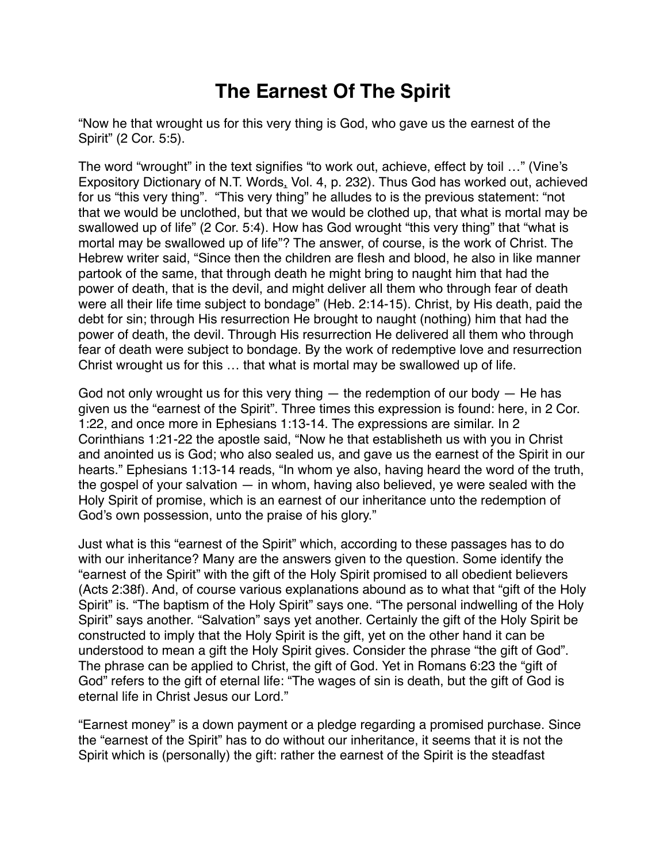## **The Earnest Of The Spirit**

"Now he that wrought us for this very thing is God, who gave us the earnest of the Spirit" (2 Cor. 5:5).

The word "wrought" in the text signifies "to work out, achieve, effect by toil …" (Vine's Expository Dictionary of N.T. Words, Vol. 4, p. 232). Thus God has worked out, achieved for us "this very thing". "This very thing" he alludes to is the previous statement: "not that we would be unclothed, but that we would be clothed up, that what is mortal may be swallowed up of life" (2 Cor. 5:4). How has God wrought "this very thing" that "what is mortal may be swallowed up of life"? The answer, of course, is the work of Christ. The Hebrew writer said, "Since then the children are flesh and blood, he also in like manner partook of the same, that through death he might bring to naught him that had the power of death, that is the devil, and might deliver all them who through fear of death were all their life time subject to bondage" (Heb. 2:14-15). Christ, by His death, paid the debt for sin; through His resurrection He brought to naught (nothing) him that had the power of death, the devil. Through His resurrection He delivered all them who through fear of death were subject to bondage. By the work of redemptive love and resurrection Christ wrought us for this … that what is mortal may be swallowed up of life.

God not only wrought us for this very thing  $-$  the redemption of our body  $-$  He has given us the "earnest of the Spirit". Three times this expression is found: here, in 2 Cor. 1:22, and once more in Ephesians 1:13-14. The expressions are similar. In 2 Corinthians 1:21-22 the apostle said, "Now he that establisheth us with you in Christ and anointed us is God; who also sealed us, and gave us the earnest of the Spirit in our hearts." Ephesians 1:13-14 reads, "In whom ye also, having heard the word of the truth, the gospel of your salvation — in whom, having also believed, ye were sealed with the Holy Spirit of promise, which is an earnest of our inheritance unto the redemption of God's own possession, unto the praise of his glory."

Just what is this "earnest of the Spirit" which, according to these passages has to do with our inheritance? Many are the answers given to the question. Some identify the "earnest of the Spirit" with the gift of the Holy Spirit promised to all obedient believers (Acts 2:38f). And, of course various explanations abound as to what that "gift of the Holy Spirit" is. "The baptism of the Holy Spirit" says one. "The personal indwelling of the Holy Spirit" says another. "Salvation" says yet another. Certainly the gift of the Holy Spirit be constructed to imply that the Holy Spirit is the gift, yet on the other hand it can be understood to mean a gift the Holy Spirit gives. Consider the phrase "the gift of God". The phrase can be applied to Christ, the gift of God. Yet in Romans 6:23 the "gift of God" refers to the gift of eternal life: "The wages of sin is death, but the gift of God is eternal life in Christ Jesus our Lord."

"Earnest money" is a down payment or a pledge regarding a promised purchase. Since the "earnest of the Spirit" has to do without our inheritance, it seems that it is not the Spirit which is (personally) the gift: rather the earnest of the Spirit is the steadfast